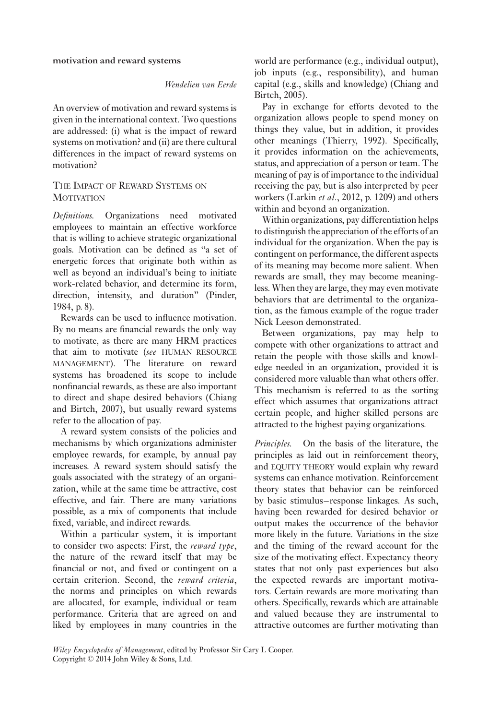### **motivation and reward systems**

### *Wendelien van Eerde*

An overview of motivation and reward systems is given in the international context. Two questions are addressed: (i) what is the impact of reward systems on motivation? and (ii) are there cultural differences in the impact of reward systems on motivation?

## THE IMPACT OF REWARD SYSTEMS ON **MOTIVATION**

*Definitions.* Organizations need motivated employees to maintain an effective workforce that is willing to achieve strategic organizational goals. Motivation can be defined as "a set of energetic forces that originate both within as well as beyond an individual's being to initiate work-related behavior, and determine its form, direction, intensity, and duration" (Pinder, 1984, p. 8).

Rewards can be used to influence motivation. By no means are financial rewards the only way to motivate, as there are many HRM practices that aim to motivate (*see* HUMAN RESOURCE MANAGEMENT). The literature on reward systems has broadened its scope to include nonfinancial rewards, as these are also important to direct and shape desired behaviors (Chiang and Birtch, 2007), but usually reward systems refer to the allocation of pay.

A reward system consists of the policies and mechanisms by which organizations administer employee rewards, for example, by annual pay increases. A reward system should satisfy the goals associated with the strategy of an organization, while at the same time be attractive, cost effective, and fair. There are many variations possible, as a mix of components that include fixed, variable, and indirect rewards.

Within a particular system, it is important to consider two aspects: First, the *reward type*, the nature of the reward itself that may be financial or not, and fixed or contingent on a certain criterion. Second, the *reward criteria*, the norms and principles on which rewards are allocated, for example, individual or team performance. Criteria that are agreed on and liked by employees in many countries in the

world are performance (e.g., individual output), job inputs (e.g., responsibility), and human capital (e.g., skills and knowledge) (Chiang and Birtch, 2005).

Pay in exchange for efforts devoted to the organization allows people to spend money on things they value, but in addition, it provides other meanings (Thierry, 1992). Specifically, it provides information on the achievements, status, and appreciation of a person or team. The meaning of pay is of importance to the individual receiving the pay, but is also interpreted by peer workers (Larkin *et al*., 2012, p. 1209) and others within and beyond an organization.

Within organizations, pay differentiation helps to distinguish the appreciation of the efforts of an individual for the organization. When the pay is contingent on performance, the different aspects of its meaning may become more salient. When rewards are small, they may become meaningless. When they are large, they may even motivate behaviors that are detrimental to the organization, as the famous example of the rogue trader Nick Leeson demonstrated.

Between organizations, pay may help to compete with other organizations to attract and retain the people with those skills and knowledge needed in an organization, provided it is considered more valuable than what others offer. This mechanism is referred to as the sorting effect which assumes that organizations attract certain people, and higher skilled persons are attracted to the highest paying organizations.

*Principles.* On the basis of the literature, the principles as laid out in reinforcement theory, and EQUITY THEORY would explain why reward systems can enhance motivation. Reinforcement theory states that behavior can be reinforced by basic stimulus–response linkages. As such, having been rewarded for desired behavior or output makes the occurrence of the behavior more likely in the future. Variations in the size and the timing of the reward account for the size of the motivating effect. Expectancy theory states that not only past experiences but also the expected rewards are important motivators. Certain rewards are more motivating than others. Specifically, rewards which are attainable and valued because they are instrumental to attractive outcomes are further motivating than

*Wiley Encyclopedia of Management*, edited by Professor Sir Cary L Cooper. Copyright © 2014 John Wiley & Sons, Ltd.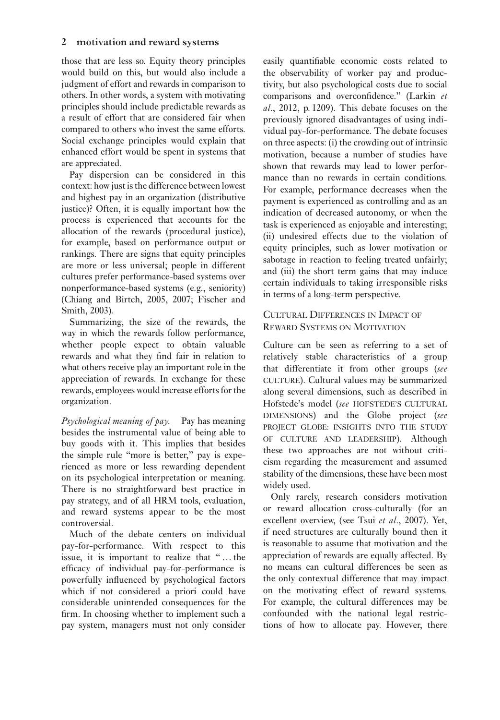those that are less so. Equity theory principles would build on this, but would also include a judgment of effort and rewards in comparison to others. In other words, a system with motivating principles should include predictable rewards as a result of effort that are considered fair when compared to others who invest the same efforts. Social exchange principles would explain that enhanced effort would be spent in systems that are appreciated.

Pay dispersion can be considered in this context: how just is the difference between lowest and highest pay in an organization (distributive justice)? Often, it is equally important how the process is experienced that accounts for the allocation of the rewards (procedural justice), for example, based on performance output or rankings. There are signs that equity principles are more or less universal; people in different cultures prefer performance-based systems over nonperformance-based systems (e.g., seniority) (Chiang and Birtch, 2005, 2007; Fischer and Smith, 2003).

Summarizing, the size of the rewards, the way in which the rewards follow performance, whether people expect to obtain valuable rewards and what they find fair in relation to what others receive play an important role in the appreciation of rewards. In exchange for these rewards, employees would increase efforts for the organization.

*Psychological meaning of pay.* Pay has meaning besides the instrumental value of being able to buy goods with it. This implies that besides the simple rule "more is better," pay is experienced as more or less rewarding dependent on its psychological interpretation or meaning. There is no straightforward best practice in pay strategy, and of all HRM tools, evaluation, and reward systems appear to be the most controversial.

Much of the debate centers on individual pay-for-performance. With respect to this issue, it is important to realize that " … the efficacy of individual pay-for-performance is powerfully influenced by psychological factors which if not considered a priori could have considerable unintended consequences for the firm. In choosing whether to implement such a pay system, managers must not only consider easily quantifiable economic costs related to the observability of worker pay and productivity, but also psychological costs due to social comparisons and overconfidence." (Larkin *et al*., 2012, p. 1209). This debate focuses on the previously ignored disadvantages of using individual pay-for-performance. The debate focuses on three aspects: (i) the crowding out of intrinsic motivation, because a number of studies have shown that rewards may lead to lower performance than no rewards in certain conditions. For example, performance decreases when the payment is experienced as controlling and as an indication of decreased autonomy, or when the task is experienced as enjoyable and interesting; (ii) undesired effects due to the violation of equity principles, such as lower motivation or sabotage in reaction to feeling treated unfairly; and (iii) the short term gains that may induce certain individuals to taking irresponsible risks in terms of a long-term perspective.

# CULTURAL DIFFERENCES IN IMPACT OF REWARD SYSTEMS ON MOTIVATION

Culture can be seen as referring to a set of relatively stable characteristics of a group that differentiate it from other groups (*see* CULTURE). Cultural values may be summarized along several dimensions, such as described in Hofstede's model (*see* HOFSTEDE'S CULTURAL DIMENSIONS) and the Globe project (*see* PROJECT GLOBE: INSIGHTS INTO THE STUDY OF CULTURE AND LEADERSHIP). Although these two approaches are not without criticism regarding the measurement and assumed stability of the dimensions, these have been most widely used.

Only rarely, research considers motivation or reward allocation cross-culturally (for an excellent overview, (see Tsui *et al*., 2007). Yet, if need structures are culturally bound then it is reasonable to assume that motivation and the appreciation of rewards are equally affected. By no means can cultural differences be seen as the only contextual difference that may impact on the motivating effect of reward systems. For example, the cultural differences may be confounded with the national legal restrictions of how to allocate pay. However, there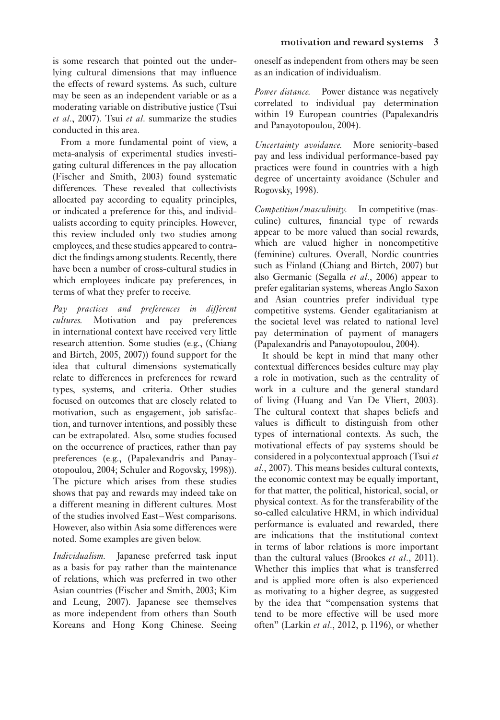conducted in this area. From a more fundamental point of view, a meta-analysis of experimental studies investigating cultural differences in the pay allocation (Fischer and Smith, 2003) found systematic differences. These revealed that collectivists allocated pay according to equality principles, or indicated a preference for this, and individualists according to equity principles. However, this review included only two studies among employees, and these studies appeared to contradict the findings among students. Recently, there have been a number of cross-cultural studies in which employees indicate pay preferences, in terms of what they prefer to receive.

*Pay practices and preferences in different cultures.* Motivation and pay preferences in international context have received very little research attention. Some studies (e.g., (Chiang and Birtch, 2005, 2007)) found support for the idea that cultural dimensions systematically relate to differences in preferences for reward types, systems, and criteria. Other studies focused on outcomes that are closely related to motivation, such as engagement, job satisfaction, and turnover intentions, and possibly these can be extrapolated. Also, some studies focused on the occurrence of practices, rather than pay preferences (e.g., (Papalexandris and Panayotopoulou, 2004; Schuler and Rogovsky, 1998)). The picture which arises from these studies shows that pay and rewards may indeed take on a different meaning in different cultures. Most of the studies involved East–West comparisons. However, also within Asia some differences were noted. Some examples are given below.

*Individualism.* Japanese preferred task input as a basis for pay rather than the maintenance of relations, which was preferred in two other Asian countries (Fischer and Smith, 2003; Kim and Leung, 2007). Japanese see themselves as more independent from others than South Koreans and Hong Kong Chinese. Seeing oneself as independent from others may be seen as an indication of individualism.

*Power distance.* Power distance was negatively correlated to individual pay determination within 19 European countries (Papalexandris and Panayotopoulou, 2004).

*Uncertainty avoidance.* More seniority-based pay and less individual performance-based pay practices were found in countries with a high degree of uncertainty avoidance (Schuler and Rogovsky, 1998).

*Competition/masculinity.* In competitive (masculine) cultures, financial type of rewards appear to be more valued than social rewards, which are valued higher in noncompetitive (feminine) cultures. Overall, Nordic countries such as Finland (Chiang and Birtch, 2007) but also Germanic (Segalla *et al*., 2006) appear to prefer egalitarian systems, whereas Anglo Saxon and Asian countries prefer individual type competitive systems. Gender egalitarianism at the societal level was related to national level pay determination of payment of managers (Papalexandris and Panayotopoulou, 2004).

It should be kept in mind that many other contextual differences besides culture may play a role in motivation, such as the centrality of work in a culture and the general standard of living (Huang and Van De Vliert, 2003). The cultural context that shapes beliefs and values is difficult to distinguish from other types of international contexts. As such, the motivational effects of pay systems should be considered in a polycontextual approach (Tsui *et al*., 2007). This means besides cultural contexts, the economic context may be equally important, for that matter, the political, historical, social, or physical context. As for the transferability of the so-called calculative HRM, in which individual performance is evaluated and rewarded, there are indications that the institutional context in terms of labor relations is more important than the cultural values (Brookes *et al*., 2011). Whether this implies that what is transferred and is applied more often is also experienced as motivating to a higher degree, as suggested by the idea that "compensation systems that tend to be more effective will be used more often" (Larkin *et al*., 2012, p. 1196), or whether